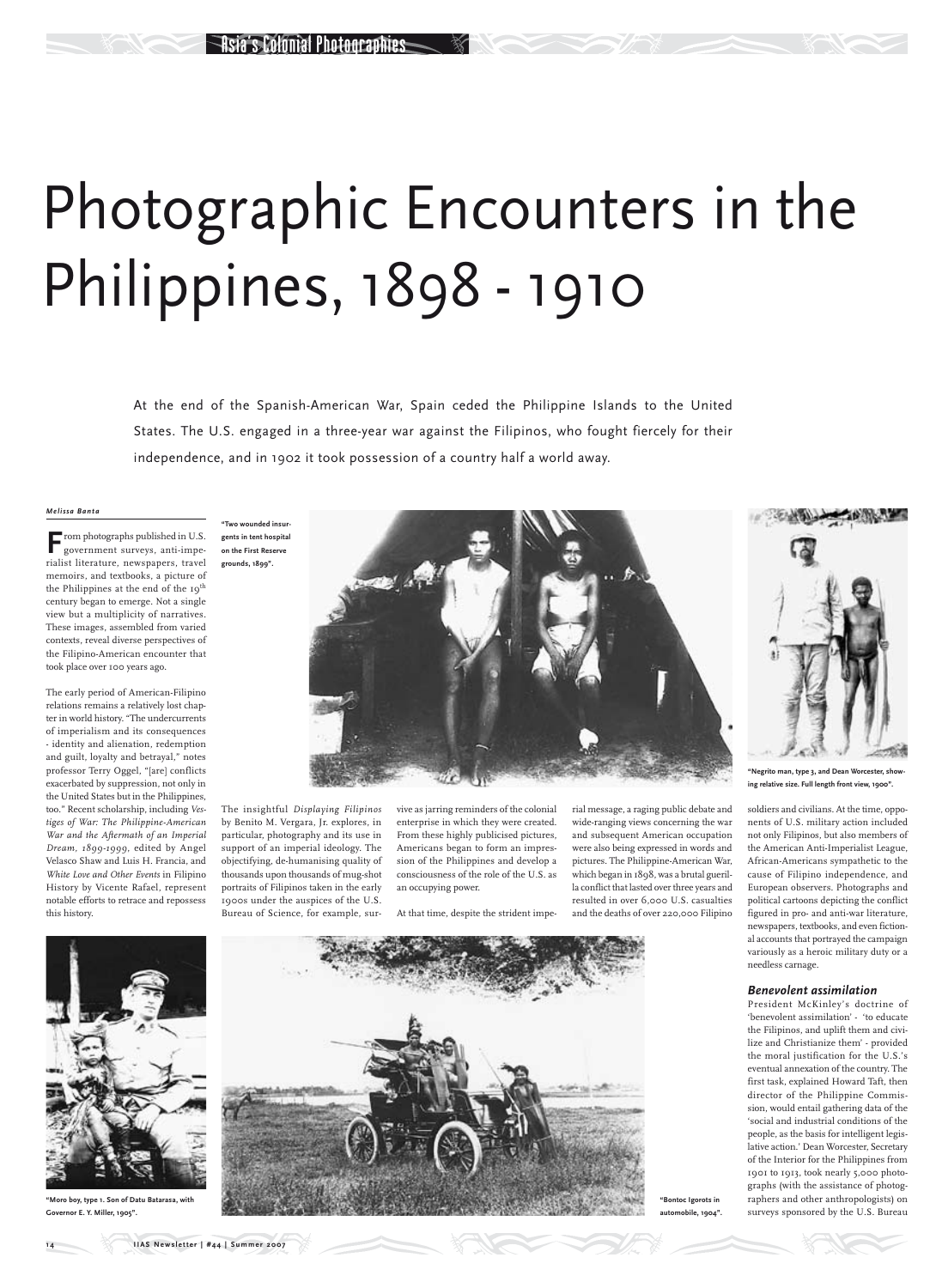# Photographic Encounters in the Philippines, 1898 - 1910

At the end of the Spanish-American War, Spain ceded the Philippine Islands to the United States. The U.S. engaged in a three-year war against the Filipinos, who fought fiercely for their independence, and in 1902 it took possession of a country half a world away.

**F**rom photographs published in U.S. government surveys, anti-imperialist literature, newspapers, travel memoirs, and textbooks, a picture of the Philippines at the end of the 19<sup>th</sup> century began to emerge. Not a single view but a multiplicity of narratives. These images, assembled from varied contexts, reveal diverse perspectives of the Filipino-American encounter that took place over 100 years ago.

### *Melissa Banta*

The early period of American-Filipino relations remains a relatively lost chapter in world history. "The undercurrents of imperialism and its consequences - identity and alienation, redemption and guilt, loyalty and betrayal," notes professor Terry Oggel, "[are] conflicts exacerbated by suppression, not only in the United States but in the Philippines, too." Recent scholarship, including *Vestiges of War: The Philippine-American War and the Aftermath of an Imperial Dream, 1899-1999*, edited by Angel Velasco Shaw and Luis H. Francia, and *White Love and Other Events* in Filipino History by Vicente Rafael, represent notable efforts to retrace and repossess this history.

The insightful *Displaying Filipinos* by Benito M. Vergara, Jr. explores, in particular, photography and its use in support of an imperial ideology. The objectifying, de-humanising quality of thousands upon thousands of mug-shot portraits of Filipinos taken in the early 1900s under the auspices of the U.S. Bureau of Science, for example, survive as jarring reminders of the colonial enterprise in which they were created. From these highly publicised pictures, Americans began to form an impression of the Philippines and develop a consciousness of the role of the U.S. as an occupying power.

At that time, despite the strident impe-

rial message, a raging public debate and wide-ranging views concerning the war and subsequent American occupation were also being expressed in words and pictures. The Philippine-American War, which began in 1898, was a brutal guerilla conflict that lasted over three years and resulted in over 6,000 U.S. casualties and the deaths of over 220,000 Filipino soldiers and civilians. At the time, opponents of U.S. military action included not only Filipinos, but also members of the American Anti-Imperialist League, African-Americans sympathetic to the cause of Filipino independence, and European observers. Photographs and political cartoons depicting the conflict figured in pro- and anti-war literature, newspapers, textbooks, and even fictional accounts that portrayed the campaign variously as a heroic military duty or a needless carnage.

### *Benevolent assimilation*

President McKinley's doctrine of 'benevolent assimilation' - 'to educate the Filipinos, and uplift them and civilize and Christianize them' - provided the moral justification for the U.S.'s eventual annexation of the country. The first task, explained Howard Taft, then director of the Philippine Commission, would entail gathering data of the 'social and industrial conditions of the people, as the basis for intelligent legislative action.' Dean Worcester, Secretary of the Interior for the Philippines from 1901 to 1913, took nearly 5,000 photographs (with the assistance of photographers and other anthropologists) on surveys sponsored by the U.S. Bureau

**automobile, 1904".**





**gents in tent hospital on the First Reserve grounds, 1899".**



**"Negrito man, type 3, and Dean Worcester, showing relative size. Full length front view, 1900".**